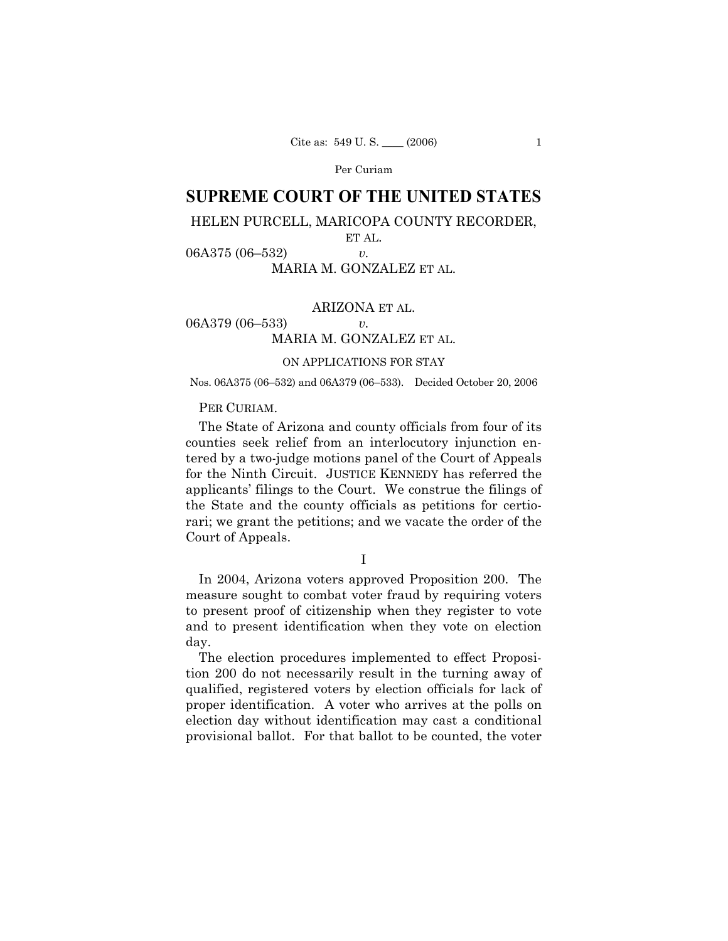Per Curiam

# **SUPREME COURT OF THE UNITED STATES**

## HELEN PURCELL, MARICOPA COUNTY RECORDER,

ET AL.

06A375 (06–532) *v.*  MARIA M. GONZALEZ ET AL.

ARIZONA ET AL. 06A379 (06–533) *v.*  MARIA M. GONZALEZ ET AL.

## ON APPLICATIONS FOR STAY

Nos. 06A375 (06–532) and 06A379 (06–533). Decided October 20, 2006

## PER CURIAM.

The State of Arizona and county officials from four of its counties seek relief from an interlocutory injunction entered by a two-judge motions panel of the Court of Appeals for the Ninth Circuit. JUSTICE KENNEDY has referred the applicants' filings to the Court. We construe the filings of the State and the county officials as petitions for certiorari; we grant the petitions; and we vacate the order of the Court of Appeals.

I

In 2004, Arizona voters approved Proposition 200. The measure sought to combat voter fraud by requiring voters to present proof of citizenship when they register to vote and to present identification when they vote on election day.

The election procedures implemented to effect Proposition 200 do not necessarily result in the turning away of qualified, registered voters by election officials for lack of proper identification. A voter who arrives at the polls on election day without identification may cast a conditional provisional ballot. For that ballot to be counted, the voter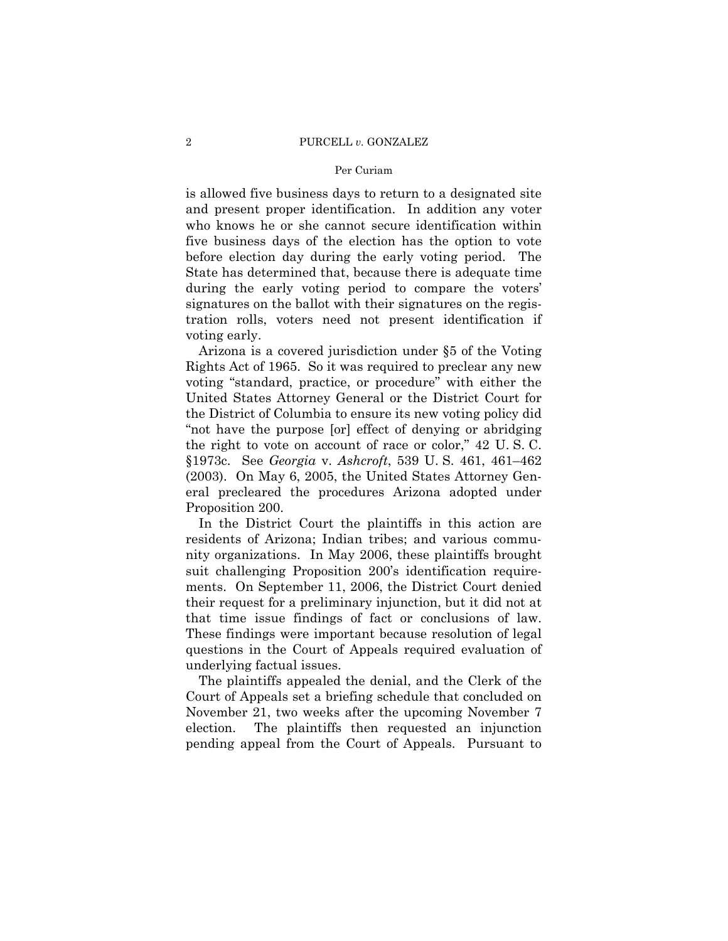#### Per Curiam

is allowed five business days to return to a designated site and present proper identification. In addition any voter who knows he or she cannot secure identification within five business days of the election has the option to vote before election day during the early voting period. The State has determined that, because there is adequate time during the early voting period to compare the voters' signatures on the ballot with their signatures on the registration rolls, voters need not present identification if voting early.

Arizona is a covered jurisdiction under §5 of the Voting Rights Act of 1965. So it was required to preclear any new voting "standard, practice, or procedure" with either the United States Attorney General or the District Court for the District of Columbia to ensure its new voting policy did "not have the purpose [or] effect of denying or abridging the right to vote on account of race or color," 42 U. S. C. §1973c. See *Georgia* v. *Ashcroft*, 539 U. S. 461, 461–462 (2003). On May 6, 2005, the United States Attorney General precleared the procedures Arizona adopted under Proposition 200.

In the District Court the plaintiffs in this action are residents of Arizona; Indian tribes; and various community organizations. In May 2006, these plaintiffs brought suit challenging Proposition 200's identification requirements. On September 11, 2006, the District Court denied their request for a preliminary injunction, but it did not at that time issue findings of fact or conclusions of law. These findings were important because resolution of legal questions in the Court of Appeals required evaluation of underlying factual issues.

The plaintiffs appealed the denial, and the Clerk of the Court of Appeals set a briefing schedule that concluded on November 21, two weeks after the upcoming November 7 election. The plaintiffs then requested an injunction pending appeal from the Court of Appeals. Pursuant to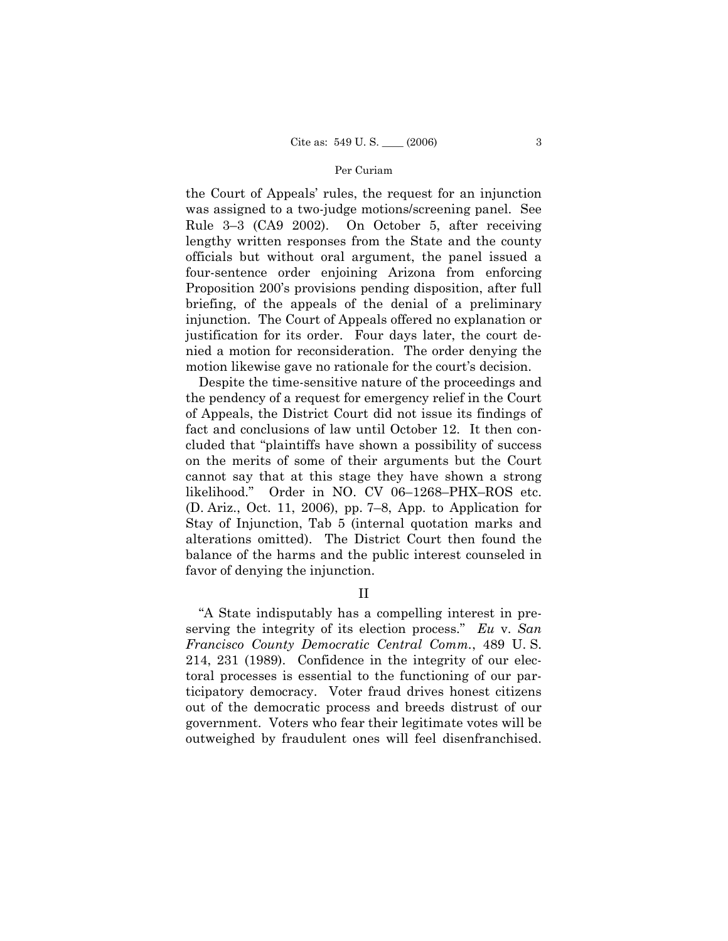#### Per Curiam

the Court of Appeals' rules, the request for an injunction was assigned to a two-judge motions/screening panel. See Rule 3–3 (CA9 2002). On October 5, after receiving lengthy written responses from the State and the county officials but without oral argument, the panel issued a four-sentence order enjoining Arizona from enforcing Proposition 200's provisions pending disposition, after full briefing, of the appeals of the denial of a preliminary injunction. The Court of Appeals offered no explanation or justification for its order. Four days later, the court denied a motion for reconsideration. The order denying the motion likewise gave no rationale for the court's decision.

Despite the time-sensitive nature of the proceedings and the pendency of a request for emergency relief in the Court of Appeals, the District Court did not issue its findings of fact and conclusions of law until October 12. It then concluded that "plaintiffs have shown a possibility of success on the merits of some of their arguments but the Court cannot say that at this stage they have shown a strong likelihood." Order in NO. CV 06–1268–PHX–ROS etc. (D. Ariz., Oct. 11, 2006), pp. 7–8, App. to Application for Stay of Injunction, Tab 5 (internal quotation marks and alterations omitted). The District Court then found the balance of the harms and the public interest counseled in favor of denying the injunction.

II

"A State indisputably has a compelling interest in preserving the integrity of its election process." *Eu* v. *San Francisco County Democratic Central Comm.*, 489 U. S. 214, 231 (1989). Confidence in the integrity of our electoral processes is essential to the functioning of our participatory democracy. Voter fraud drives honest citizens out of the democratic process and breeds distrust of our government. Voters who fear their legitimate votes will be outweighed by fraudulent ones will feel disenfranchised.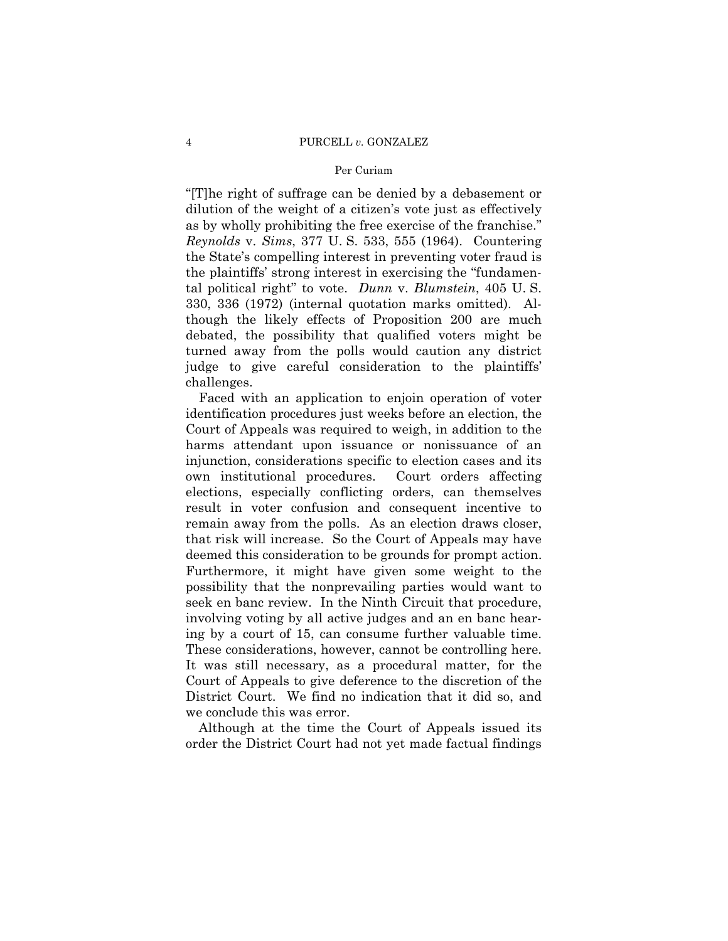#### 4 PURCELL *v.* GONZALEZ

#### Per Curiam

"[T]he right of suffrage can be denied by a debasement or dilution of the weight of a citizen's vote just as effectively as by wholly prohibiting the free exercise of the franchise." *Reynolds* v. *Sims*, 377 U. S. 533, 555 (1964). Countering the State's compelling interest in preventing voter fraud is the plaintiffs' strong interest in exercising the "fundamental political right" to vote. *Dunn* v. *Blumstein*, 405 U. S. 330, 336 (1972) (internal quotation marks omitted). Although the likely effects of Proposition 200 are much debated, the possibility that qualified voters might be turned away from the polls would caution any district judge to give careful consideration to the plaintiffs' challenges.

Faced with an application to enjoin operation of voter identification procedures just weeks before an election, the Court of Appeals was required to weigh, in addition to the harms attendant upon issuance or nonissuance of an injunction, considerations specific to election cases and its own institutional procedures. Court orders affecting elections, especially conflicting orders, can themselves result in voter confusion and consequent incentive to remain away from the polls. As an election draws closer, that risk will increase. So the Court of Appeals may have deemed this consideration to be grounds for prompt action. Furthermore, it might have given some weight to the possibility that the nonprevailing parties would want to seek en banc review. In the Ninth Circuit that procedure, involving voting by all active judges and an en banc hearing by a court of 15, can consume further valuable time. These considerations, however, cannot be controlling here. It was still necessary, as a procedural matter, for the Court of Appeals to give deference to the discretion of the District Court. We find no indication that it did so, and we conclude this was error.

Although at the time the Court of Appeals issued its order the District Court had not yet made factual findings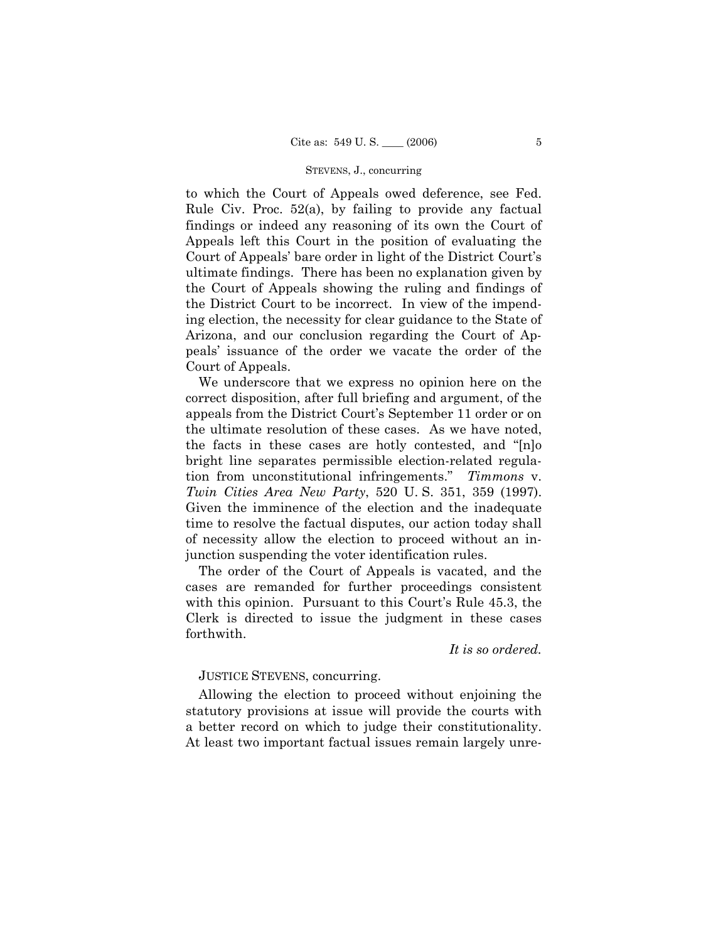#### STEVENS, J., concurring

to which the Court of Appeals owed deference, see Fed. Rule Civ. Proc. 52(a), by failing to provide any factual findings or indeed any reasoning of its own the Court of Appeals left this Court in the position of evaluating the Court of Appeals' bare order in light of the District Court's ultimate findings. There has been no explanation given by the Court of Appeals showing the ruling and findings of the District Court to be incorrect. In view of the impending election, the necessity for clear guidance to the State of Arizona, and our conclusion regarding the Court of Appeals' issuance of the order we vacate the order of the Court of Appeals.

We underscore that we express no opinion here on the correct disposition, after full briefing and argument, of the appeals from the District Court's September 11 order or on the ultimate resolution of these cases. As we have noted, the facts in these cases are hotly contested, and "[n]o bright line separates permissible election-related regulation from unconstitutional infringements." *Timmons* v. *Twin Cities Area New Party*, 520 U. S. 351, 359 (1997). Given the imminence of the election and the inadequate time to resolve the factual disputes, our action today shall of necessity allow the election to proceed without an injunction suspending the voter identification rules.

The order of the Court of Appeals is vacated, and the cases are remanded for further proceedings consistent with this opinion. Pursuant to this Court's Rule 45.3, the Clerk is directed to issue the judgment in these cases forthwith.

*It is so ordered.* 

JUSTICE STEVENS, concurring.

Allowing the election to proceed without enjoining the statutory provisions at issue will provide the courts with a better record on which to judge their constitutionality. At least two important factual issues remain largely unre-